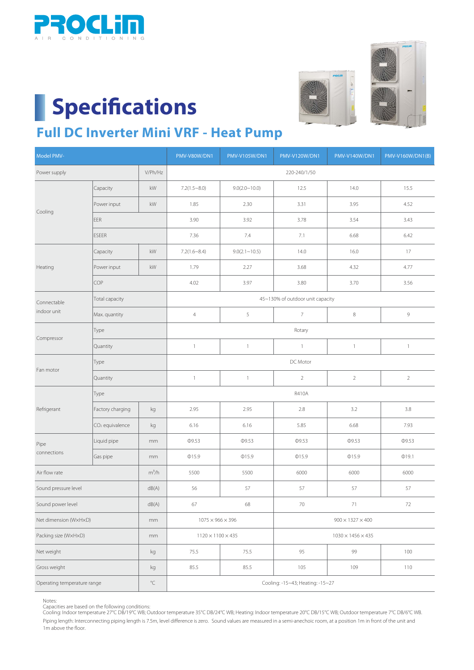

## **Specifications**





### **Full DC Inverter Mini VRF - Heat Pump**

| Model PMV-                  |                             |                         | <b>PMV-V80W/DN1</b>              | <b>PMV-V105W/DN1</b> | <b>PMV-V120W/DN1</b>          | <b>PMV-V140W/DN1</b> | PMV-V160W/DN1(B) |  |  |
|-----------------------------|-----------------------------|-------------------------|----------------------------------|----------------------|-------------------------------|----------------------|------------------|--|--|
| Power supply                |                             | V/Ph/Hz                 | 220-240/1/50                     |                      |                               |                      |                  |  |  |
| Cooling                     | Capacity                    | $\mathsf{k}\mathsf{W}$  | $7.2(1.5 - 8.0)$                 | 9.0(2.0~10.0)        | 12.5                          | 14.0                 | 15.5             |  |  |
|                             | Power input                 | kW                      | 1.85                             | 2.30                 | 3.31                          | 3.95                 | 4.52             |  |  |
|                             | <b>EER</b>                  |                         | 3.90                             | 3.92                 | 3.78                          | 3.54                 | 3.43             |  |  |
|                             | <b>ESEER</b>                |                         | 7.36                             | 7.4                  | 7.1                           | 6.68                 | 6.42             |  |  |
| Heating                     | Capacity                    | kW                      | $7.2(1.6 \sim 8.4)$              | $9.0(2.1 \sim 10.5)$ | 14.0                          | 16.0                 | 17               |  |  |
|                             | Power input                 | kW                      | 1.79                             | 2.27                 | 3.68                          | 4.32                 | 4.77             |  |  |
|                             | COP                         |                         | 4.02                             | 3.97                 | 3.80                          | 3.70                 | 3.56             |  |  |
| Connectable<br>indoor unit  | Total capacity              |                         | 45~130% of outdoor unit capacity |                      |                               |                      |                  |  |  |
|                             | Max. quantity               |                         | $\overline{4}$                   | 5                    | $\overline{7}$                | $\,8\,$              | 9                |  |  |
|                             | Type                        |                         |                                  | Rotary               |                               |                      |                  |  |  |
| Compressor                  | Quantity                    |                         | $\mathbbm{1}$                    | $\mathbbm{1}$        | $\mathbf{1}$                  | $\mathbf{1}$         | $\mathbf{1}$     |  |  |
| Fan motor                   | Type                        |                         | DC Motor                         |                      |                               |                      |                  |  |  |
|                             | Quantity                    |                         | $\mathbf{1}$                     | $\mathbf{1}$         | $\overline{2}$                | $\overline{2}$       | $\overline{2}$   |  |  |
|                             | Type                        |                         | R410A                            |                      |                               |                      |                  |  |  |
| Refrigerant                 | Factory charging            | kg                      | 2.95                             | 2.95                 | 2.8                           | 3.2                  | $3.8\,$          |  |  |
|                             | CO <sub>2</sub> equivalence | $\mathsf{k}\mathsf{g}$  | 6.16                             | 6.16                 | 5.85                          | 6.68                 | 7.93             |  |  |
| Pipe<br>connections         | Liquid pipe                 | mm                      | Φ9.53                            | Ф9.53                | Ф9.53                         | Φ9.53                | Ф9.53            |  |  |
|                             | Gas pipe                    | mm                      | $Q$ 15.9                         | $Q$ 15.9             | $Q$ 15.9                      | $Q$ 15.9             | @19.1            |  |  |
| Air flow rate               |                             | $m^3/h$                 | 5500                             | 5500                 | 6000                          | 6000                 | 6000             |  |  |
| Sound pressure level        |                             | dB(A)                   | 56                               | 57                   | 57                            | 57                   | 57               |  |  |
| Sound power level           |                             | ${\sf dB}({\sf A})$     | 67                               | 68                   | 70                            | $71\,$               | 72               |  |  |
| Net dimension (WxHxD)       |                             | mm                      | $1075\times966\times396$         |                      | $900 \times 1327 \times 400$  |                      |                  |  |  |
| Packing size (WxHxD)        |                             | mm                      | $1120 \times 1100 \times 435$    |                      | $1030 \times 1456 \times 435$ |                      |                  |  |  |
| Net weight                  |                             | kg                      | 75.5                             | 75.5                 | 95                            | 99                   | 100              |  |  |
| Gross weight                |                             | kg                      | 85.5                             | 85.5                 | 105                           | 109                  | 110              |  |  |
| Operating temperature range |                             | $^{\circ}\!{\mathbb C}$ | Cooling: -15~43; Heating: -15~27 |                      |                               |                      |                  |  |  |

Notes:

Capacities are based on the following conditions:<br>Cooling: Indoor temperature 27°C DB/19°C WB; Outdoor temperature 35°C DB/24°C WB; Heating: Indoor temperature 20°C DB/15°C WB; Outdoor temperature 7°C DB/6°C WB Piping length: Interconnecting piping length is 7.5m, level difference is zero. Sound values are measured in a semi-anechoic room, at a position 1m in front of the unit and 1m above the floor.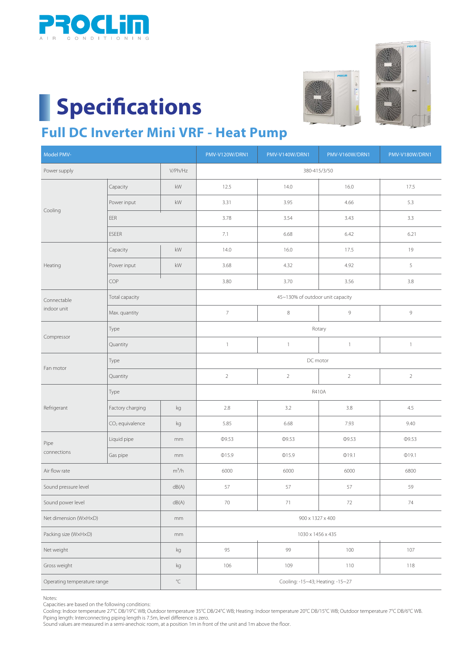

### **Specifications**





#### **Full DC Inverter Mini VRF - Heat Pump**

| Model PMV-                  |                             |                         | PMV-V120W/DRN1                   | PMV-V140W/DRN1 | <b>PMV-V160W/DRN1</b> | PMV-V180W/DRN1 |  |  |
|-----------------------------|-----------------------------|-------------------------|----------------------------------|----------------|-----------------------|----------------|--|--|
| Power supply                |                             | V/Ph/Hz                 | 380-415/3/50                     |                |                       |                |  |  |
|                             | Capacity                    | kW                      | 12.5                             | 14.0           | 16.0                  | 17.5           |  |  |
|                             | Power input                 | kW                      | 3.31                             | 3.95           | 4.66                  | 5.3            |  |  |
| Cooling                     | EER                         |                         | 3.78                             | 3.54           | 3.43                  | 3.3            |  |  |
|                             | <b>ESEER</b>                |                         | 7.1                              | 6.68           | 6.42                  | 6.21           |  |  |
| Heating                     | Capacity                    | kW                      | 14.0                             | 16.0           | 17.5                  | 19             |  |  |
|                             | Power input                 | kW                      | 3.68                             | 4.32           | 4.92                  | 5              |  |  |
|                             | COP                         |                         | 3.80                             | 3.70           | 3.56                  | $3.8\,$        |  |  |
| Connectable<br>indoor unit  | Total capacity              |                         | 45~130% of outdoor unit capacity |                |                       |                |  |  |
|                             | Max. quantity               |                         | $\overline{7}$                   | $\,8\,$        | 9                     | $\mathsf g$    |  |  |
| Compressor                  | Type                        |                         | Rotary                           |                |                       |                |  |  |
|                             | Quantity                    |                         | $\mathbf{1}$                     | $\mathbbm{1}$  | $\mathbf{1}$          | $\mathbf{1}$   |  |  |
|                             | Type                        |                         | DC motor                         |                |                       |                |  |  |
| Fan motor                   | Quantity                    |                         | $\sqrt{2}$                       | $\overline{2}$ | $\overline{2}$        | $\sqrt{2}$     |  |  |
|                             | Type                        |                         | R410A                            |                |                       |                |  |  |
| Refrigerant                 | Factory charging            | kg                      | $2.8\,$                          | 3.2            | $3.8\,$               | 4.5            |  |  |
|                             | CO <sub>2</sub> equivalence | kg                      | 5.85                             | 6.68           | 7.93                  | 9.40           |  |  |
| Pipe<br>connections         | Liquid pipe                 | $\rm{mm}$               | Φ9.53                            | Ф9.53          | Ф9.53                 | Φ9.53          |  |  |
|                             | Gas pipe                    | mm                      | @15.9                            | @15.9          | @19.1                 | @19.1          |  |  |
| Air flow rate               |                             | $m^3/h$                 | 6000                             | 6000           | 6000                  | 6800           |  |  |
| Sound pressure level        |                             | dB(A)                   | 57                               | 57             | 57                    | 59             |  |  |
| Sound power level           |                             | ${\sf dB}({\sf A})$     | 70                               | 71             | 72                    | 74             |  |  |
| Net dimension (WxHxD)       |                             | mm                      | 900 x 1327 x 400                 |                |                       |                |  |  |
| Packing size (WxHxD)        |                             | mm                      | 1030 x 1456 x 435                |                |                       |                |  |  |
| Net weight                  |                             | kg                      | 95                               | 99             | 100                   | 107            |  |  |
| Gross weight                |                             | kg                      | 106                              | 109            | 110                   | 118            |  |  |
| Operating temperature range |                             | $^{\circ}\!{\mathbb C}$ | Cooling: -15~43; Heating: -15~27 |                |                       |                |  |  |

Notes:

Capacities are based on the following conditions:

Piping length: Interconnecting piping length is 7.5m, level difference is zero. Cooling: Indoor temperature 27°C DB/19°C WB; Outdoor temperature 35°C DB/24°C WB; Heating: Indoor temperature 20°C DB/15°C WB; Outdoor temperature 7°C DB/6°C WB.

Sound values are measured in a semi-anechoic room, at a position 1m in front of the unit and 1m above the floor.